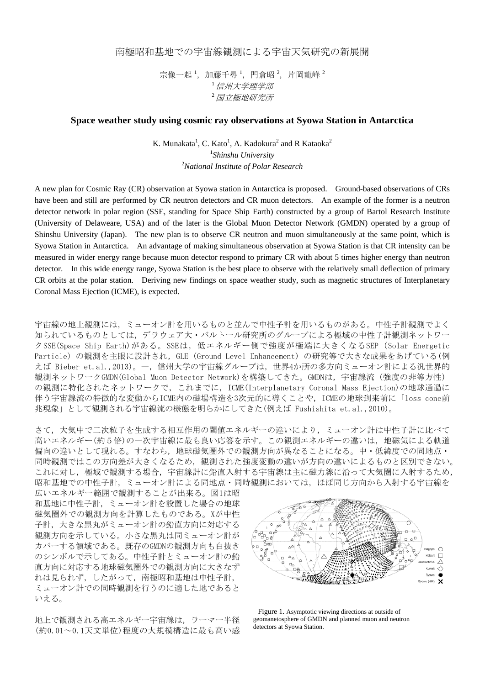南極昭和基地での宇宙線観測による宇宙天気研究の新展開

宗像一起<sup>1</sup>,加藤千尋<sup>1</sup>,門倉昭<sup>2</sup>,片岡龍峰<sup>2</sup> <sup>1</sup>信州大学理学部 <sup>2</sup>国立極地研究所

## **Space weather study using cosmic ray observations at Syowa Station in Antarctica**

K. Munakata<sup>1</sup>, C. Kato<sup>1</sup>, A. Kadokura<sup>2</sup> and R Kataoka<sup>2</sup> 1 *Shinshu University* 2 *National Institute of Polar Research*

A new plan for Cosmic Ray (CR) observation at Syowa station in Antarctica is proposed. Ground-based observations of CRs have been and still are performed by CR neutron detectors and CR muon detectors. An example of the former is a neutron detector network in polar region (SSE, standing for Space Ship Earth) constructed by a group of Bartol Research Institute (University of Delaweare, USA) and of the later is the Global Muon Detector Network (GMDN) operated by a group of Shinshu University (Japan). The new plan is to observe CR neutron and muon simultaneously at the same point, which is Syowa Station in Antarctica. An advantage of making simultaneous observation at Syowa Station is that CR intensity can be measured in wider energy range because muon detector respond to primary CR with about 5 times higher energy than neutron detector. In this wide energy range, Syowa Station is the best place to observe with the relatively small deflection of primary CR orbits at the polar station. Deriving new findings on space weather study, such as magnetic structures of Interplanetary Coronal Mass Ejection (ICME), is expected.

宇宙線の地上観測には,ミューオン計を用いるものと並んで中性子計を用いるものがある。中性子計観測でよく 知られているものとしては,デラウェア大・バルトール研究所のグループによる極域の中性子計観測ネットワー クSSE(Space Ship Earth)がある。SSEは、低エネルギー側で強度が極端に大きくなるSEP (Solar Energetic Particle)の観測を主眼に設計され、GLE (Ground Level Enhancement) の研究等で大きな成果をあげている(例 えば Bieber et.al.,2013)。一,信州大学の宇宙線グループは,世界4か所の多方向ミューオン計による汎世界的 観測ネットワークGMDN(Global Muon Detector Network)を構築してきた。GMDNは、宇宙線流 (強度の非等方性) の観測に特化されたネットワークで、これまでに、ICME(Interplanetary Coronal Mass Ejection)の地球通過に 伴う宇宙線流の特徴的な変動からICME内の磁場構造を3次元的に導くことや,ICMEの地球到来前に「loss-cone前 兆現象」として観測される宇宙線流の様態を明らかにしてきた(例えば Fushishita et.al.,2010)。

さて,大気中で二次粒子を生成する相互作用の閾値エネルギーの違いにより,ミューオン計は中性子計に比べて 高いエネルギー(約5倍)の一次宇宙線に最も良い応答を示す。この観測エネルギーの違いは,地磁気による軌道 偏向の違いとして現れる。すなわち,地球磁気圏外での観測方向が異なることになる。中・低緯度での同地点・ 同時観測ではこの方向差が大きくなるため,観測された強度変動の違いが方向の違いによるものと区別できない。 これに対し,極域で観測する場合,宇宙線計に鉛直入射する宇宙線は主に磁力線に沿って大気圏に入射するため, 昭和基地での中性子計, ミューオン計による同地点·同時観測においては、ほぼ同じ方向から入射する宇宙線を

広いエネルギー範囲で観測することが出来る。図1は昭 和基地に中性子計,ミューオン計を設置した場合の地球 磁気圏外での観測方向を計算したものである。Xが中性 子計、大きな黒丸がミューオン計の鉛直方向に対応する 観測方向を示している。小さな黒丸は同ミューオン計が カバーする領域である。既存のGMDNの観測方向も白抜き のシンボルで示してある。中性子計とミューオン計の鉛 直方向に対応する地球磁気圏外での観測方向に大きなず れは見られず,したがって,南極昭和基地は中性子計, ミューオン計での同時観測を行うのに適した地であると いえる。

地上で観測される高エネルギー宇宙線は,ラーマー半径 (約0.01~0.1天文単位)程度の大規模構造に最も高い感



Figure 1. Asymptotic viewing directions at outside of geomanetosphere of GMDN and planned muon and neutron detectors at Syowa Station.